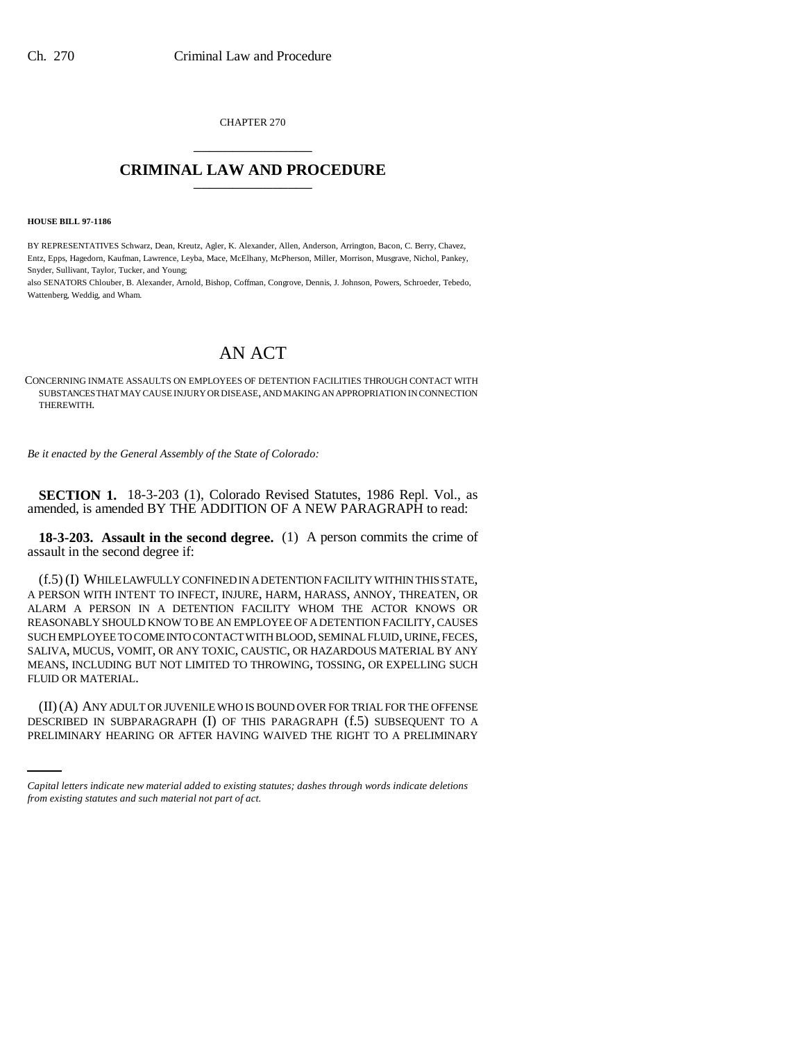CHAPTER 270 \_\_\_\_\_\_\_\_\_\_\_\_\_\_\_

## **CRIMINAL LAW AND PROCEDURE** \_\_\_\_\_\_\_\_\_\_\_\_\_\_\_

**HOUSE BILL 97-1186**

BY REPRESENTATIVES Schwarz, Dean, Kreutz, Agler, K. Alexander, Allen, Anderson, Arrington, Bacon, C. Berry, Chavez, Entz, Epps, Hagedorn, Kaufman, Lawrence, Leyba, Mace, McElhany, McPherson, Miller, Morrison, Musgrave, Nichol, Pankey, Snyder, Sullivant, Taylor, Tucker, and Young;

also SENATORS Chlouber, B. Alexander, Arnold, Bishop, Coffman, Congrove, Dennis, J. Johnson, Powers, Schroeder, Tebedo, Wattenberg, Weddig, and Wham.

## AN ACT

CONCERNING INMATE ASSAULTS ON EMPLOYEES OF DETENTION FACILITIES THROUGH CONTACT WITH SUBSTANCES THAT MAY CAUSE INJURY OR DISEASE, AND MAKING AN APPROPRIATION IN CONNECTION THEREWITH.

*Be it enacted by the General Assembly of the State of Colorado:*

**SECTION 1.** 18-3-203 (1), Colorado Revised Statutes, 1986 Repl. Vol., as amended, is amended BY THE ADDITION OF A NEW PARAGRAPH to read:

**18-3-203. Assault in the second degree.** (1) A person commits the crime of assault in the second degree if:

(f.5) (I) WHILE LAWFULLY CONFINED IN A DETENTION FACILITY WITHIN THIS STATE, A PERSON WITH INTENT TO INFECT, INJURE, HARM, HARASS, ANNOY, THREATEN, OR ALARM A PERSON IN A DETENTION FACILITY WHOM THE ACTOR KNOWS OR REASONABLY SHOULD KNOW TO BE AN EMPLOYEE OF A DETENTION FACILITY, CAUSES SUCH EMPLOYEE TO COME INTO CONTACT WITH BLOOD, SEMINAL FLUID, URINE, FECES, SALIVA, MUCUS, VOMIT, OR ANY TOXIC, CAUSTIC, OR HAZARDOUS MATERIAL BY ANY MEANS, INCLUDING BUT NOT LIMITED TO THROWING, TOSSING, OR EXPELLING SUCH FLUID OR MATERIAL.

(II)(A) ANY ADULT OR JUVENILE WHO IS BOUND OVER FOR TRIAL FOR THE OFFENSE DESCRIBED IN SUBPARAGRAPH (I) OF THIS PARAGRAPH (f.5) SUBSEQUENT TO A PRELIMINARY HEARING OR AFTER HAVING WAIVED THE RIGHT TO A PRELIMINARY

*Capital letters indicate new material added to existing statutes; dashes through words indicate deletions from existing statutes and such material not part of act.*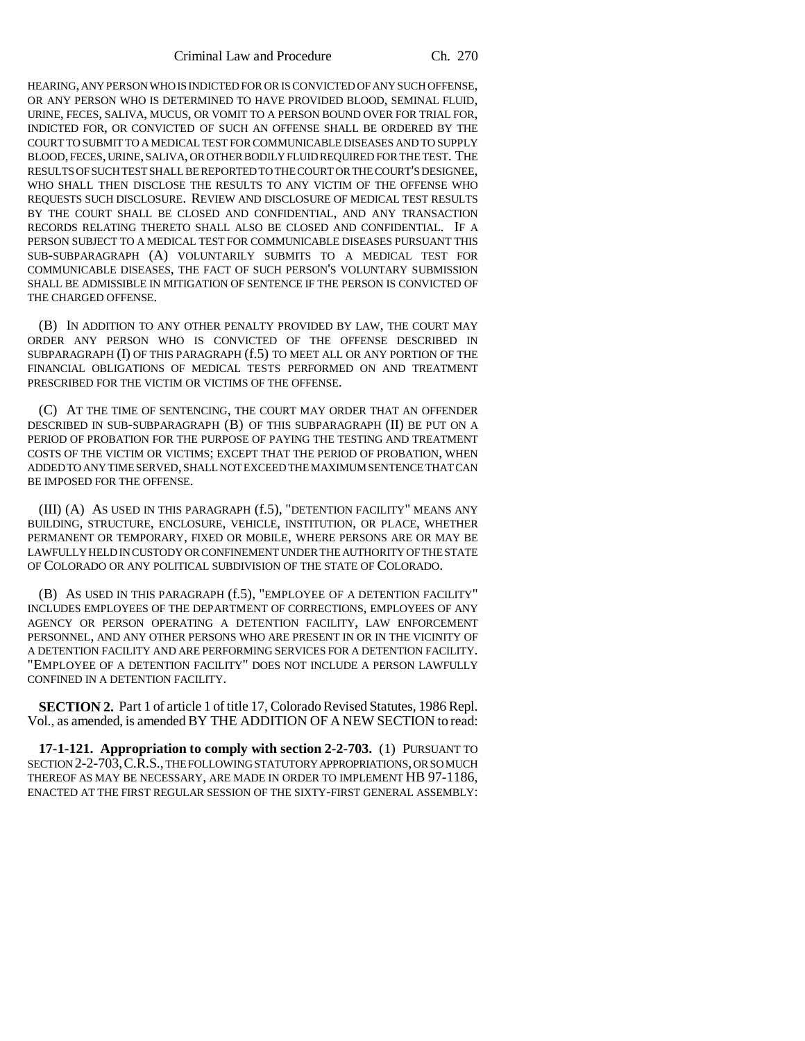HEARING, ANY PERSON WHO IS INDICTED FOR OR IS CONVICTED OF ANY SUCH OFFENSE, OR ANY PERSON WHO IS DETERMINED TO HAVE PROVIDED BLOOD, SEMINAL FLUID, URINE, FECES, SALIVA, MUCUS, OR VOMIT TO A PERSON BOUND OVER FOR TRIAL FOR, INDICTED FOR, OR CONVICTED OF SUCH AN OFFENSE SHALL BE ORDERED BY THE COURT TO SUBMIT TO A MEDICAL TEST FOR COMMUNICABLE DISEASES AND TO SUPPLY BLOOD, FECES, URINE, SALIVA, OR OTHER BODILY FLUID REQUIRED FOR THE TEST. THE RESULTS OF SUCH TEST SHALL BE REPORTED TO THE COURT OR THE COURT'S DESIGNEE, WHO SHALL THEN DISCLOSE THE RESULTS TO ANY VICTIM OF THE OFFENSE WHO REQUESTS SUCH DISCLOSURE. REVIEW AND DISCLOSURE OF MEDICAL TEST RESULTS BY THE COURT SHALL BE CLOSED AND CONFIDENTIAL, AND ANY TRANSACTION RECORDS RELATING THERETO SHALL ALSO BE CLOSED AND CONFIDENTIAL. IF A PERSON SUBJECT TO A MEDICAL TEST FOR COMMUNICABLE DISEASES PURSUANT THIS SUB-SUBPARAGRAPH (A) VOLUNTARILY SUBMITS TO A MEDICAL TEST FOR COMMUNICABLE DISEASES, THE FACT OF SUCH PERSON'S VOLUNTARY SUBMISSION SHALL BE ADMISSIBLE IN MITIGATION OF SENTENCE IF THE PERSON IS CONVICTED OF THE CHARGED OFFENSE.

(B) IN ADDITION TO ANY OTHER PENALTY PROVIDED BY LAW, THE COURT MAY ORDER ANY PERSON WHO IS CONVICTED OF THE OFFENSE DESCRIBED IN SUBPARAGRAPH (I) OF THIS PARAGRAPH (f.5) TO MEET ALL OR ANY PORTION OF THE FINANCIAL OBLIGATIONS OF MEDICAL TESTS PERFORMED ON AND TREATMENT PRESCRIBED FOR THE VICTIM OR VICTIMS OF THE OFFENSE.

(C) AT THE TIME OF SENTENCING, THE COURT MAY ORDER THAT AN OFFENDER DESCRIBED IN SUB-SUBPARAGRAPH (B) OF THIS SUBPARAGRAPH (II) BE PUT ON A PERIOD OF PROBATION FOR THE PURPOSE OF PAYING THE TESTING AND TREATMENT COSTS OF THE VICTIM OR VICTIMS; EXCEPT THAT THE PERIOD OF PROBATION, WHEN ADDED TO ANY TIME SERVED, SHALL NOT EXCEED THE MAXIMUM SENTENCE THAT CAN BE IMPOSED FOR THE OFFENSE.

(III) (A) AS USED IN THIS PARAGRAPH (f.5), "DETENTION FACILITY" MEANS ANY BUILDING, STRUCTURE, ENCLOSURE, VEHICLE, INSTITUTION, OR PLACE, WHETHER PERMANENT OR TEMPORARY, FIXED OR MOBILE, WHERE PERSONS ARE OR MAY BE LAWFULLY HELD IN CUSTODY OR CONFINEMENT UNDER THE AUTHORITY OF THE STATE OF COLORADO OR ANY POLITICAL SUBDIVISION OF THE STATE OF COLORADO.

(B) AS USED IN THIS PARAGRAPH (f.5), "EMPLOYEE OF A DETENTION FACILITY" INCLUDES EMPLOYEES OF THE DEPARTMENT OF CORRECTIONS, EMPLOYEES OF ANY AGENCY OR PERSON OPERATING A DETENTION FACILITY, LAW ENFORCEMENT PERSONNEL, AND ANY OTHER PERSONS WHO ARE PRESENT IN OR IN THE VICINITY OF A DETENTION FACILITY AND ARE PERFORMING SERVICES FOR A DETENTION FACILITY. "EMPLOYEE OF A DETENTION FACILITY" DOES NOT INCLUDE A PERSON LAWFULLY CONFINED IN A DETENTION FACILITY.

**SECTION 2.** Part 1 of article 1 of title 17, Colorado Revised Statutes, 1986 Repl. Vol., as amended, is amended BY THE ADDITION OF A NEW SECTION to read:

**17-1-121. Appropriation to comply with section 2-2-703.** (1) PURSUANT TO SECTION 2-2-703,C.R.S., THE FOLLOWING STATUTORY APPROPRIATIONS, OR SO MUCH THEREOF AS MAY BE NECESSARY, ARE MADE IN ORDER TO IMPLEMENT HB 97-1186, ENACTED AT THE FIRST REGULAR SESSION OF THE SIXTY-FIRST GENERAL ASSEMBLY: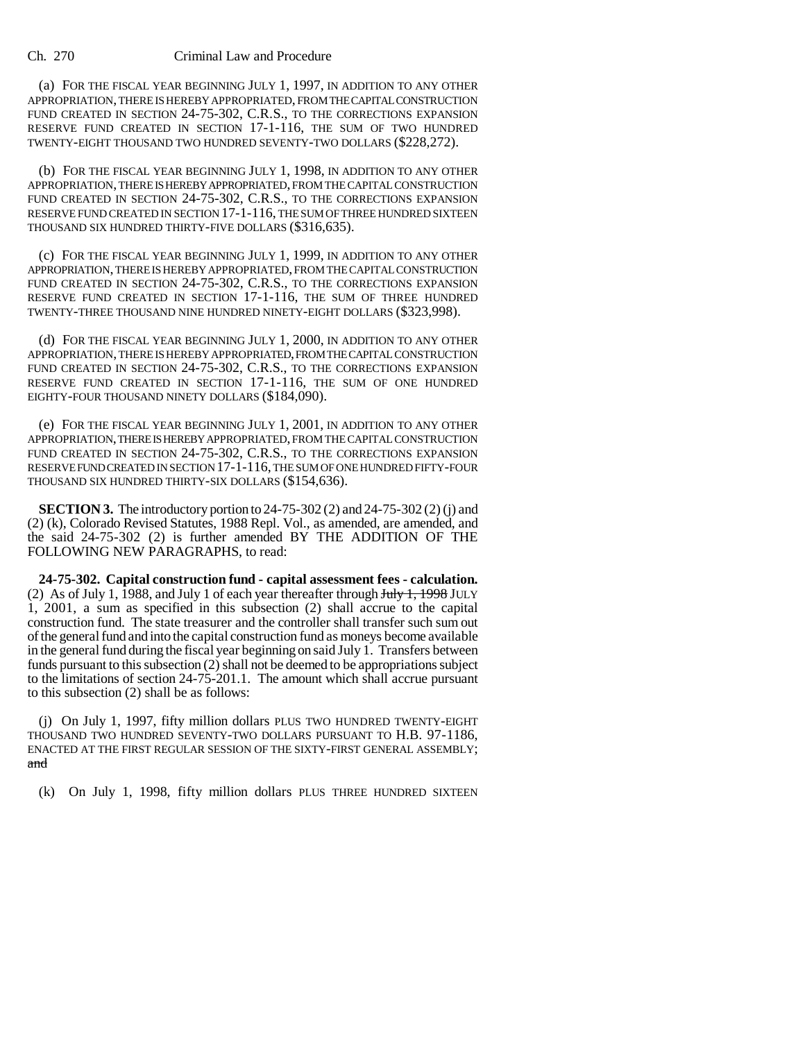## Ch. 270 Criminal Law and Procedure

(a) FOR THE FISCAL YEAR BEGINNING JULY 1, 1997, IN ADDITION TO ANY OTHER APPROPRIATION, THERE IS HEREBY APPROPRIATED, FROM THE CAPITAL CONSTRUCTION FUND CREATED IN SECTION 24-75-302, C.R.S., TO THE CORRECTIONS EXPANSION RESERVE FUND CREATED IN SECTION 17-1-116, THE SUM OF TWO HUNDRED TWENTY-EIGHT THOUSAND TWO HUNDRED SEVENTY-TWO DOLLARS (\$228,272).

(b) FOR THE FISCAL YEAR BEGINNING JULY 1, 1998, IN ADDITION TO ANY OTHER APPROPRIATION, THERE IS HEREBY APPROPRIATED, FROM THE CAPITAL CONSTRUCTION FUND CREATED IN SECTION 24-75-302, C.R.S., TO THE CORRECTIONS EXPANSION RESERVE FUND CREATED IN SECTION 17-1-116, THE SUM OF THREE HUNDRED SIXTEEN THOUSAND SIX HUNDRED THIRTY-FIVE DOLLARS (\$316,635).

(c) FOR THE FISCAL YEAR BEGINNING JULY 1, 1999, IN ADDITION TO ANY OTHER APPROPRIATION, THERE IS HEREBY APPROPRIATED, FROM THE CAPITAL CONSTRUCTION FUND CREATED IN SECTION 24-75-302, C.R.S., TO THE CORRECTIONS EXPANSION RESERVE FUND CREATED IN SECTION 17-1-116, THE SUM OF THREE HUNDRED TWENTY-THREE THOUSAND NINE HUNDRED NINETY-EIGHT DOLLARS (\$323,998).

(d) FOR THE FISCAL YEAR BEGINNING JULY 1, 2000, IN ADDITION TO ANY OTHER APPROPRIATION, THERE IS HEREBY APPROPRIATED, FROM THE CAPITAL CONSTRUCTION FUND CREATED IN SECTION 24-75-302, C.R.S., TO THE CORRECTIONS EXPANSION RESERVE FUND CREATED IN SECTION 17-1-116, THE SUM OF ONE HUNDRED EIGHTY-FOUR THOUSAND NINETY DOLLARS (\$184,090).

(e) FOR THE FISCAL YEAR BEGINNING JULY 1, 2001, IN ADDITION TO ANY OTHER APPROPRIATION, THERE IS HEREBY APPROPRIATED, FROM THE CAPITAL CONSTRUCTION FUND CREATED IN SECTION 24-75-302, C.R.S., TO THE CORRECTIONS EXPANSION RESERVE FUND CREATED IN SECTION 17-1-116, THE SUM OF ONE HUNDRED FIFTY-FOUR THOUSAND SIX HUNDRED THIRTY-SIX DOLLARS (\$154,636).

**SECTION 3.** The introductory portion to 24-75-302 (2) and 24-75-302 (2) (i) and (2) (k), Colorado Revised Statutes, 1988 Repl. Vol., as amended, are amended, and the said 24-75-302 (2) is further amended BY THE ADDITION OF THE FOLLOWING NEW PARAGRAPHS, to read:

**24-75-302. Capital construction fund - capital assessment fees - calculation.** (2) As of July 1, 1988, and July 1 of each year thereafter through  $\frac{\text{H}_y}{\text{H}_y}$  +  $\frac{1998}{\text{JULY}}$ 1, 2001, a sum as specified in this subsection (2) shall accrue to the capital construction fund. The state treasurer and the controller shall transfer such sum out of the general fund and into the capital construction fund as moneys become available in the general fund during the fiscal year beginning on said July 1. Transfers between funds pursuant to this subsection (2) shall not be deemed to be appropriations subject to the limitations of section 24-75-201.1. The amount which shall accrue pursuant to this subsection (2) shall be as follows:

(j) On July 1, 1997, fifty million dollars PLUS TWO HUNDRED TWENTY-EIGHT THOUSAND TWO HUNDRED SEVENTY-TWO DOLLARS PURSUANT TO H.B. 97-1186, ENACTED AT THE FIRST REGULAR SESSION OF THE SIXTY-FIRST GENERAL ASSEMBLY; and

(k) On July 1, 1998, fifty million dollars PLUS THREE HUNDRED SIXTEEN